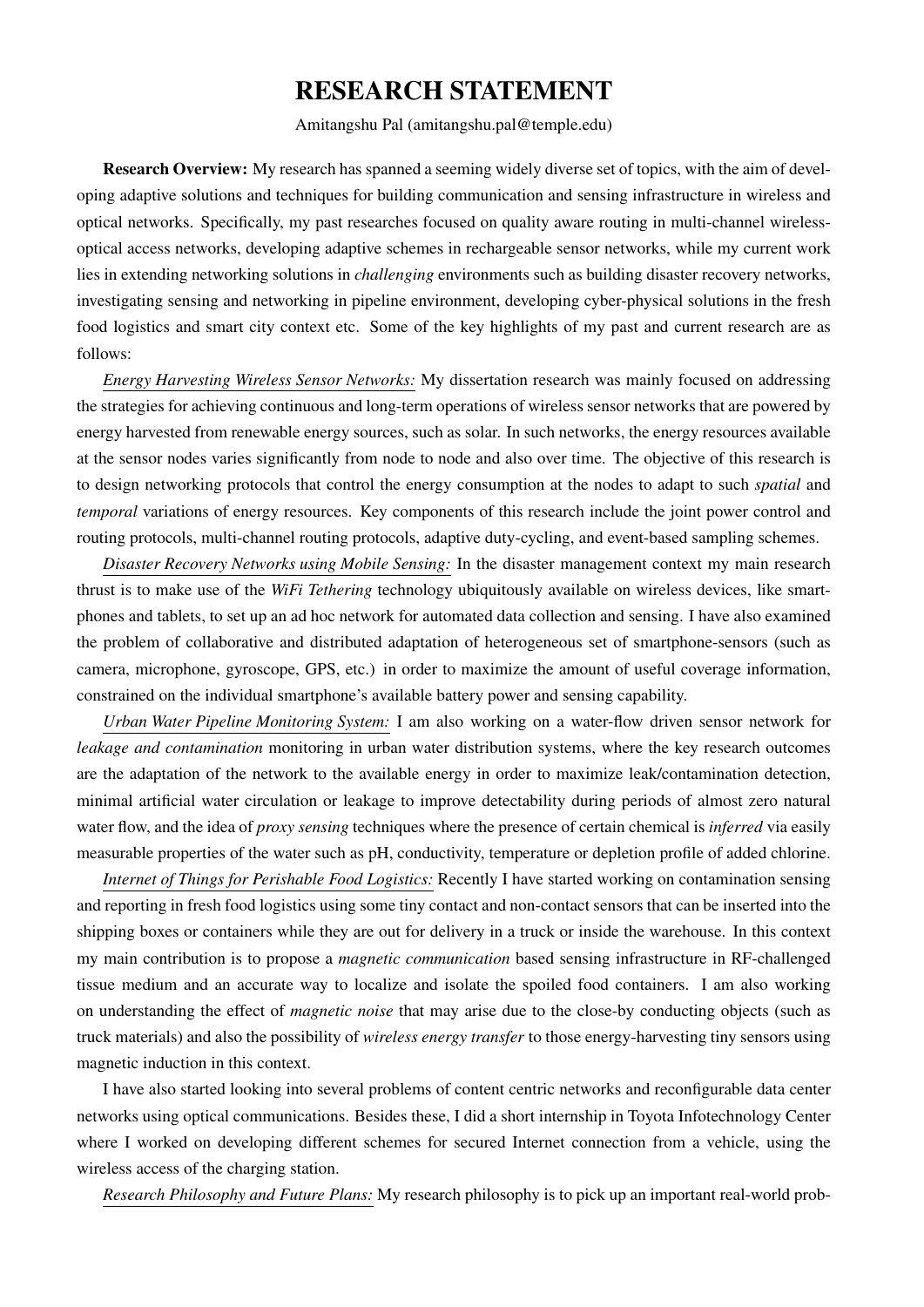# RESEARCH STATEMENT

Amitangshu Pal (amitangshu.pal@temple.edu)

Research Overview: My research has spanned a seeming widely diverse set of topics, with the aim of developing adaptive solutions and techniques for building communication and sensing infrastructure in wireless and optical networks. Specifically, my past researches focused on quality aware routing in multi-channel wirelessoptical access networks, developing adaptive schemes in rechargeable sensor networks, while my current work lies in extending networking solutions in *challenging* environments such as building disaster recovery networks, investigating sensing and networking in pipeline environment, developing cyber-physical solutions in the fresh food logistics and smart city context etc. Some of the key highlights of my past and current research are as follows:

*Energy Harvesting Wireless Sensor Networks:* My dissertation research was mainly focused on addressing the strategies for achieving continuous and long-term operations of wireless sensor networks that are powered by energy harvested from renewable energy sources, such as solar. In such networks, the energy resources available at the sensor nodes varies significantly from node to node and also over time. The objective of this research is to design networking protocols that control the energy consumption at the nodes to adapt to such *spatial* and *temporal* variations of energy resources. Key components of this research include the joint power control and routing protocols, multi-channel routing protocols, adaptive duty-cycling, and event-based sampling schemes.

*Disaster Recovery Networks using Mobile Sensing:* In the disaster management context my main research thrust is to make use of the *WiFi Tethering* technology ubiquitously available on wireless devices, like smartphones and tablets, to set up an ad hoc network for automated data collection and sensing. I have also examined the problem of collaborative and distributed adaptation of heterogeneous set of smartphone-sensors (such as camera, microphone, gyroscope, GPS, etc.) in order to maximize the amount of useful coverage information, constrained on the individual smartphone's available battery power and sensing capability.

*Urban Water Pipeline Monitoring System:* I am also working on a water-flow driven sensor network for *leakage and contamination* monitoring in urban water distribution systems, where the key research outcomes are the adaptation of the network to the available energy in order to maximize leak/contamination detection, minimal artificial water circulation or leakage to improve detectability during periods of almost zero natural water flow, and the idea of *proxy sensing* techniques where the presence of certain chemical is *inferred* via easily measurable properties of the water such as pH, conductivity, temperature or depletion profile of added chlorine.

*Internet of Things for Perishable Food Logistics:* Recently I have started working on contamination sensing and reporting in fresh food logistics using some tiny contact and non-contact sensors that can be inserted into the shipping boxes or containers while they are out for delivery in a truck or inside the warehouse. In this context my main contribution is to propose a *magnetic communication* based sensing infrastructure in RF-challenged tissue medium and an accurate way to localize and isolate the spoiled food containers. I am also working on understanding the effect of *magnetic noise* that may arise due to the close-by conducting objects (such as truck materials) and also the possibility of *wireless energy transfer* to those energy-harvesting tiny sensors using magnetic induction in this context.

I have also started looking into several problems of content centric networks and reconfigurable data center networks using optical communications. Besides these, I did a short internship in Toyota Infotechnology Center where I worked on developing different schemes for secured Internet connection from a vehicle, using the wireless access of the charging station.

*Research Philosophy and Future Plans:* My research philosophy is to pick up an important real-world prob-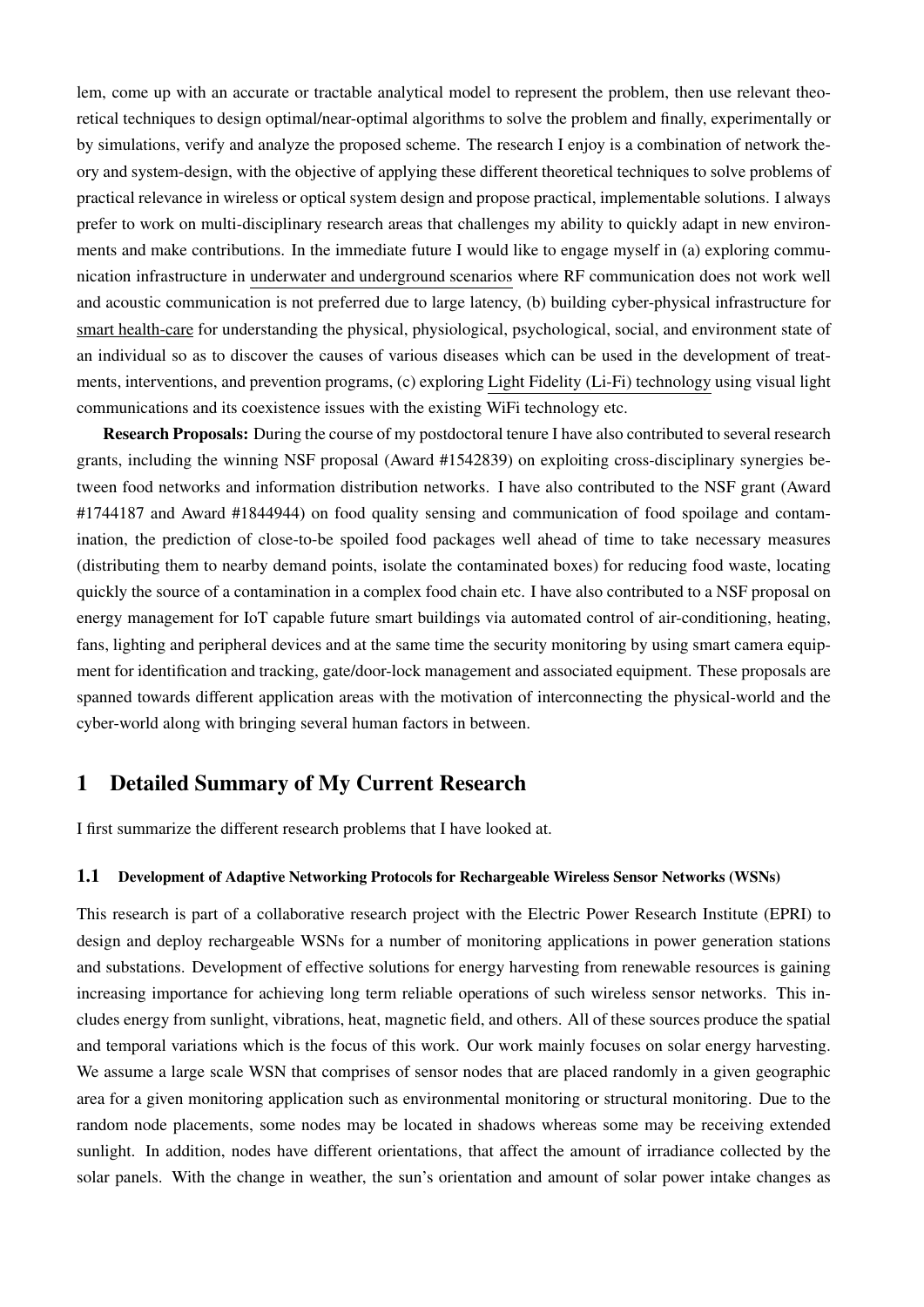lem, come up with an accurate or tractable analytical model to represent the problem, then use relevant theoretical techniques to design optimal/near-optimal algorithms to solve the problem and finally, experimentally or by simulations, verify and analyze the proposed scheme. The research I enjoy is a combination of network theory and system-design, with the objective of applying these different theoretical techniques to solve problems of practical relevance in wireless or optical system design and propose practical, implementable solutions. I always prefer to work on multi-disciplinary research areas that challenges my ability to quickly adapt in new environments and make contributions. In the immediate future I would like to engage myself in (a) exploring communication infrastructure in underwater and underground scenarios where RF communication does not work well and acoustic communication is not preferred due to large latency, (b) building cyber-physical infrastructure for smart health-care for understanding the physical, physiological, psychological, social, and environment state of an individual so as to discover the causes of various diseases which can be used in the development of treatments, interventions, and prevention programs, (c) exploring Light Fidelity (Li-Fi) technology using visual light communications and its coexistence issues with the existing WiFi technology etc.

Research Proposals: During the course of my postdoctoral tenure I have also contributed to several research grants, including the winning NSF proposal (Award #1542839) on exploiting cross-disciplinary synergies between food networks and information distribution networks. I have also contributed to the NSF grant (Award #1744187 and Award #1844944) on food quality sensing and communication of food spoilage and contamination, the prediction of close-to-be spoiled food packages well ahead of time to take necessary measures (distributing them to nearby demand points, isolate the contaminated boxes) for reducing food waste, locating quickly the source of a contamination in a complex food chain etc. I have also contributed to a NSF proposal on energy management for IoT capable future smart buildings via automated control of air-conditioning, heating, fans, lighting and peripheral devices and at the same time the security monitoring by using smart camera equipment for identification and tracking, gate/door-lock management and associated equipment. These proposals are spanned towards different application areas with the motivation of interconnecting the physical-world and the cyber-world along with bringing several human factors in between.

# 1 Detailed Summary of My Current Research

I first summarize the different research problems that I have looked at.

#### 1.1 Development of Adaptive Networking Protocols for Rechargeable Wireless Sensor Networks (WSNs)

This research is part of a collaborative research project with the Electric Power Research Institute (EPRI) to design and deploy rechargeable WSNs for a number of monitoring applications in power generation stations and substations. Development of effective solutions for energy harvesting from renewable resources is gaining increasing importance for achieving long term reliable operations of such wireless sensor networks. This includes energy from sunlight, vibrations, heat, magnetic field, and others. All of these sources produce the spatial and temporal variations which is the focus of this work. Our work mainly focuses on solar energy harvesting. We assume a large scale WSN that comprises of sensor nodes that are placed randomly in a given geographic area for a given monitoring application such as environmental monitoring or structural monitoring. Due to the random node placements, some nodes may be located in shadows whereas some may be receiving extended sunlight. In addition, nodes have different orientations, that affect the amount of irradiance collected by the solar panels. With the change in weather, the sun's orientation and amount of solar power intake changes as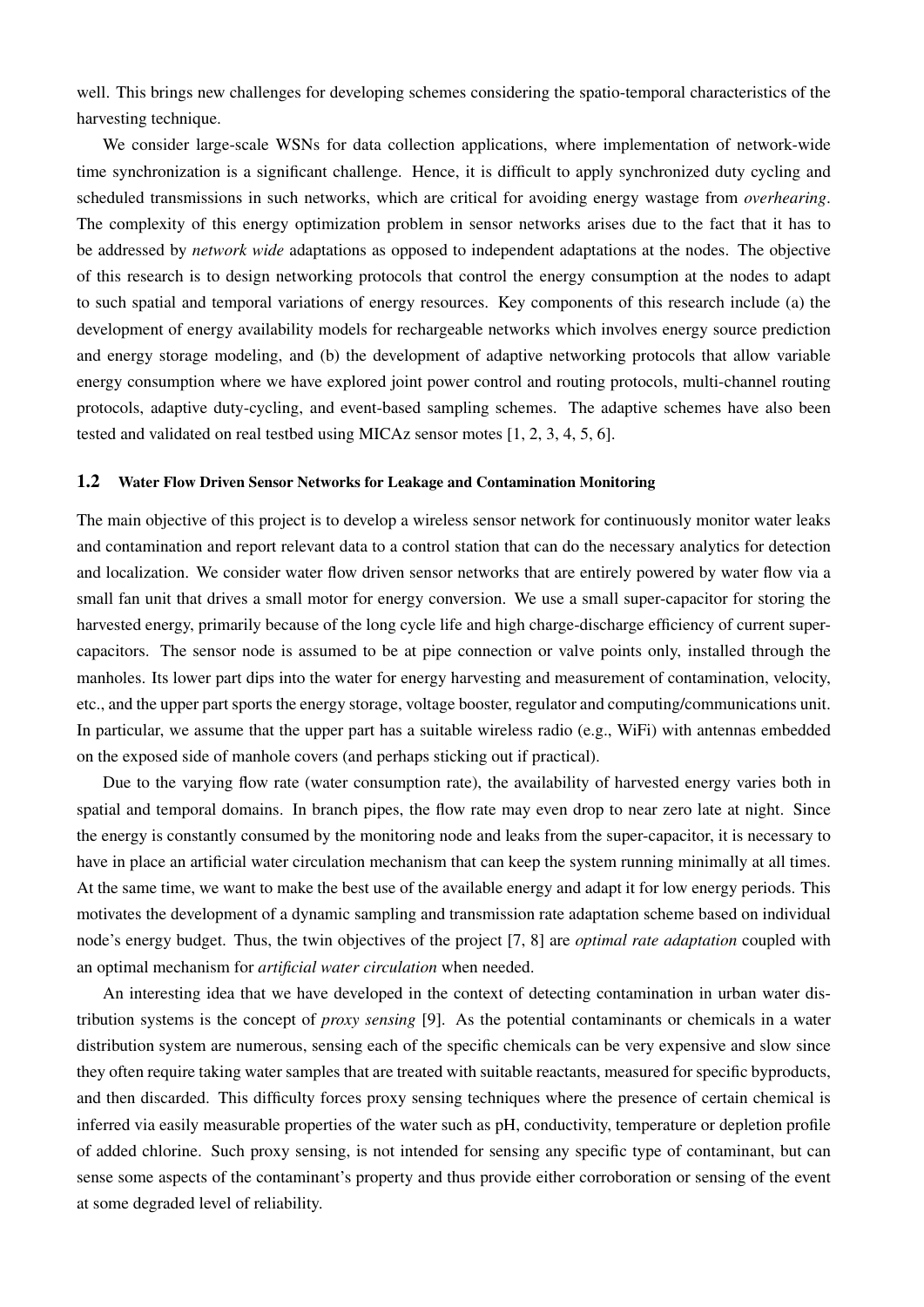well. This brings new challenges for developing schemes considering the spatio-temporal characteristics of the harvesting technique.

We consider large-scale WSNs for data collection applications, where implementation of network-wide time synchronization is a significant challenge. Hence, it is difficult to apply synchronized duty cycling and scheduled transmissions in such networks, which are critical for avoiding energy wastage from *overhearing*. The complexity of this energy optimization problem in sensor networks arises due to the fact that it has to be addressed by *network wide* adaptations as opposed to independent adaptations at the nodes. The objective of this research is to design networking protocols that control the energy consumption at the nodes to adapt to such spatial and temporal variations of energy resources. Key components of this research include (a) the development of energy availability models for rechargeable networks which involves energy source prediction and energy storage modeling, and (b) the development of adaptive networking protocols that allow variable energy consumption where we have explored joint power control and routing protocols, multi-channel routing protocols, adaptive duty-cycling, and event-based sampling schemes. The adaptive schemes have also been tested and validated on real testbed using MICAz sensor motes [1, 2, 3, 4, 5, 6].

#### 1.2 Water Flow Driven Sensor Networks for Leakage and Contamination Monitoring

The main objective of this project is to develop a wireless sensor network for continuously monitor water leaks and contamination and report relevant data to a control station that can do the necessary analytics for detection and localization. We consider water flow driven sensor networks that are entirely powered by water flow via a small fan unit that drives a small motor for energy conversion. We use a small super-capacitor for storing the harvested energy, primarily because of the long cycle life and high charge-discharge efficiency of current supercapacitors. The sensor node is assumed to be at pipe connection or valve points only, installed through the manholes. Its lower part dips into the water for energy harvesting and measurement of contamination, velocity, etc., and the upper part sports the energy storage, voltage booster, regulator and computing/communications unit. In particular, we assume that the upper part has a suitable wireless radio (e.g., WiFi) with antennas embedded on the exposed side of manhole covers (and perhaps sticking out if practical).

Due to the varying flow rate (water consumption rate), the availability of harvested energy varies both in spatial and temporal domains. In branch pipes, the flow rate may even drop to near zero late at night. Since the energy is constantly consumed by the monitoring node and leaks from the super-capacitor, it is necessary to have in place an artificial water circulation mechanism that can keep the system running minimally at all times. At the same time, we want to make the best use of the available energy and adapt it for low energy periods. This motivates the development of a dynamic sampling and transmission rate adaptation scheme based on individual node's energy budget. Thus, the twin objectives of the project [7, 8] are *optimal rate adaptation* coupled with an optimal mechanism for *artificial water circulation* when needed.

An interesting idea that we have developed in the context of detecting contamination in urban water distribution systems is the concept of *proxy sensing* [9]. As the potential contaminants or chemicals in a water distribution system are numerous, sensing each of the specific chemicals can be very expensive and slow since they often require taking water samples that are treated with suitable reactants, measured for specific byproducts, and then discarded. This difficulty forces proxy sensing techniques where the presence of certain chemical is inferred via easily measurable properties of the water such as pH, conductivity, temperature or depletion profile of added chlorine. Such proxy sensing, is not intended for sensing any specific type of contaminant, but can sense some aspects of the contaminant's property and thus provide either corroboration or sensing of the event at some degraded level of reliability.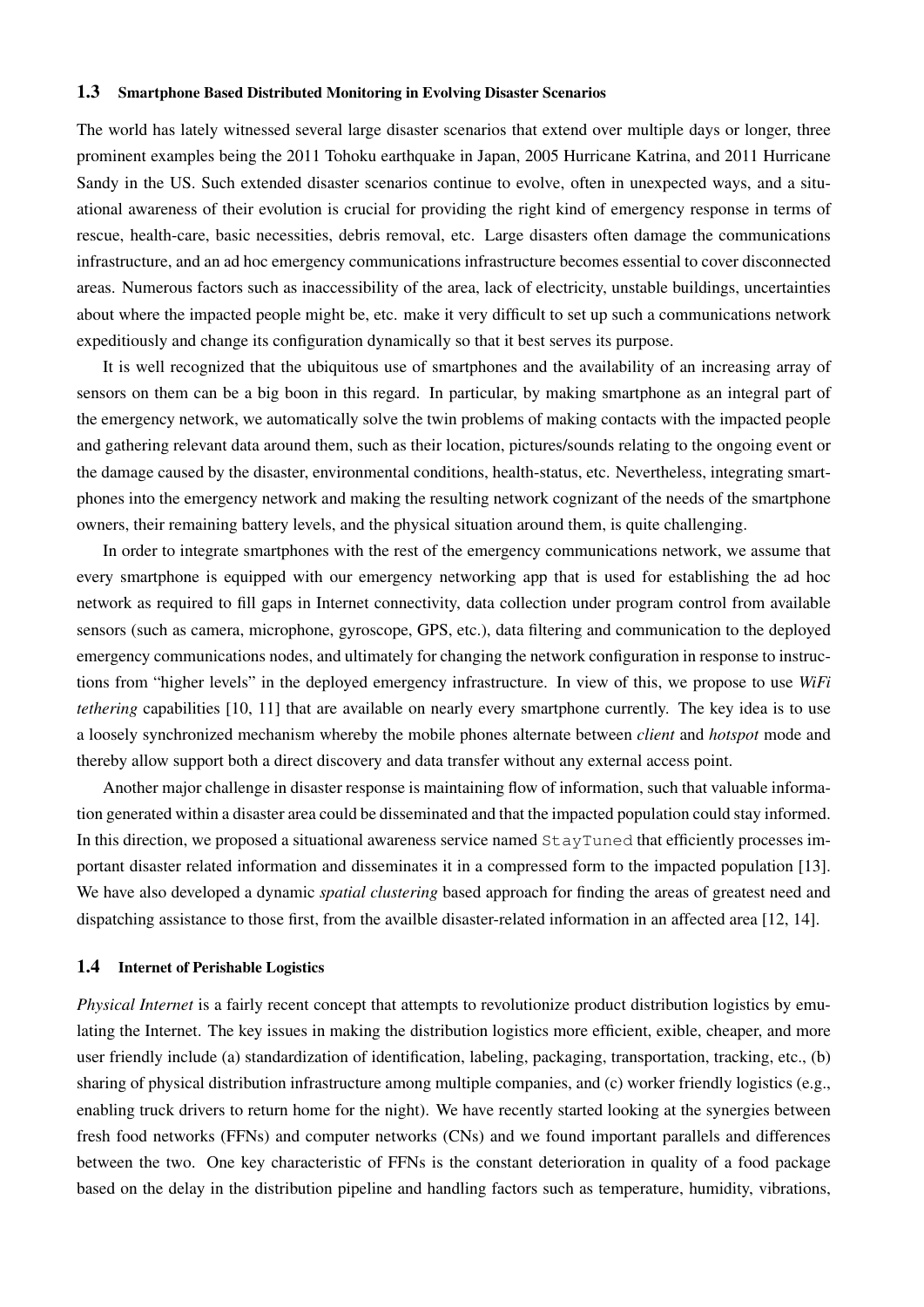#### 1.3 Smartphone Based Distributed Monitoring in Evolving Disaster Scenarios

The world has lately witnessed several large disaster scenarios that extend over multiple days or longer, three prominent examples being the 2011 Tohoku earthquake in Japan, 2005 Hurricane Katrina, and 2011 Hurricane Sandy in the US. Such extended disaster scenarios continue to evolve, often in unexpected ways, and a situational awareness of their evolution is crucial for providing the right kind of emergency response in terms of rescue, health-care, basic necessities, debris removal, etc. Large disasters often damage the communications infrastructure, and an ad hoc emergency communications infrastructure becomes essential to cover disconnected areas. Numerous factors such as inaccessibility of the area, lack of electricity, unstable buildings, uncertainties about where the impacted people might be, etc. make it very difficult to set up such a communications network expeditiously and change its configuration dynamically so that it best serves its purpose.

It is well recognized that the ubiquitous use of smartphones and the availability of an increasing array of sensors on them can be a big boon in this regard. In particular, by making smartphone as an integral part of the emergency network, we automatically solve the twin problems of making contacts with the impacted people and gathering relevant data around them, such as their location, pictures/sounds relating to the ongoing event or the damage caused by the disaster, environmental conditions, health-status, etc. Nevertheless, integrating smartphones into the emergency network and making the resulting network cognizant of the needs of the smartphone owners, their remaining battery levels, and the physical situation around them, is quite challenging.

In order to integrate smartphones with the rest of the emergency communications network, we assume that every smartphone is equipped with our emergency networking app that is used for establishing the ad hoc network as required to fill gaps in Internet connectivity, data collection under program control from available sensors (such as camera, microphone, gyroscope, GPS, etc.), data filtering and communication to the deployed emergency communications nodes, and ultimately for changing the network configuration in response to instructions from "higher levels" in the deployed emergency infrastructure. In view of this, we propose to use *WiFi tethering* capabilities [10, 11] that are available on nearly every smartphone currently. The key idea is to use a loosely synchronized mechanism whereby the mobile phones alternate between *client* and *hotspot* mode and thereby allow support both a direct discovery and data transfer without any external access point.

Another major challenge in disaster response is maintaining flow of information, such that valuable information generated within a disaster area could be disseminated and that the impacted population could stay informed. In this direction, we proposed a situational awareness service named StayTuned that efficiently processes important disaster related information and disseminates it in a compressed form to the impacted population [13]. We have also developed a dynamic *spatial clustering* based approach for finding the areas of greatest need and dispatching assistance to those first, from the availble disaster-related information in an affected area [12, 14].

#### 1.4 Internet of Perishable Logistics

*Physical Internet* is a fairly recent concept that attempts to revolutionize product distribution logistics by emulating the Internet. The key issues in making the distribution logistics more efficient, exible, cheaper, and more user friendly include (a) standardization of identification, labeling, packaging, transportation, tracking, etc., (b) sharing of physical distribution infrastructure among multiple companies, and (c) worker friendly logistics (e.g., enabling truck drivers to return home for the night). We have recently started looking at the synergies between fresh food networks (FFNs) and computer networks (CNs) and we found important parallels and differences between the two. One key characteristic of FFNs is the constant deterioration in quality of a food package based on the delay in the distribution pipeline and handling factors such as temperature, humidity, vibrations,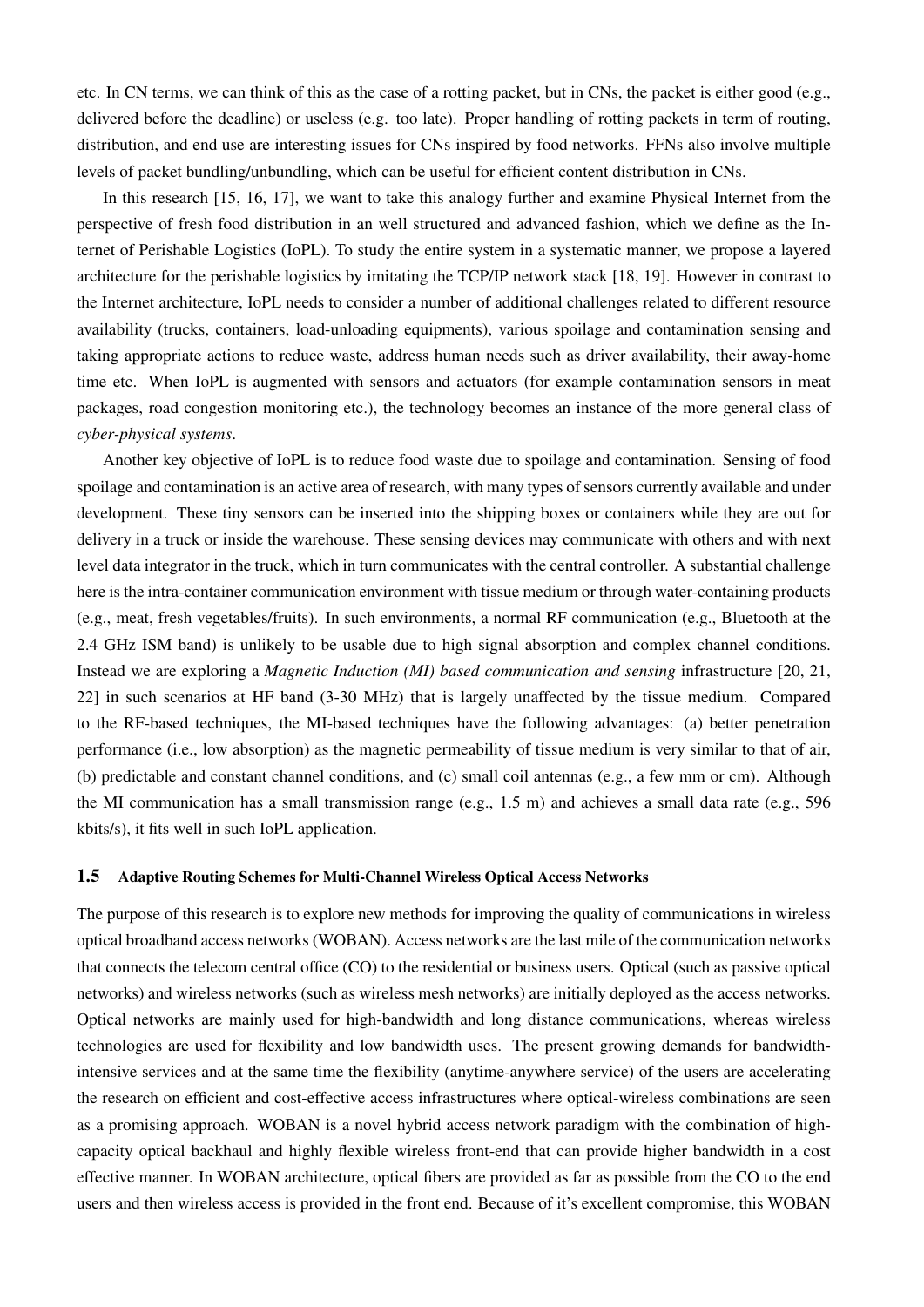etc. In CN terms, we can think of this as the case of a rotting packet, but in CNs, the packet is either good (e.g., delivered before the deadline) or useless (e.g. too late). Proper handling of rotting packets in term of routing, distribution, and end use are interesting issues for CNs inspired by food networks. FFNs also involve multiple levels of packet bundling/unbundling, which can be useful for efficient content distribution in CNs.

In this research [15, 16, 17], we want to take this analogy further and examine Physical Internet from the perspective of fresh food distribution in an well structured and advanced fashion, which we define as the Internet of Perishable Logistics (IoPL). To study the entire system in a systematic manner, we propose a layered architecture for the perishable logistics by imitating the TCP/IP network stack [18, 19]. However in contrast to the Internet architecture, IoPL needs to consider a number of additional challenges related to different resource availability (trucks, containers, load-unloading equipments), various spoilage and contamination sensing and taking appropriate actions to reduce waste, address human needs such as driver availability, their away-home time etc. When IoPL is augmented with sensors and actuators (for example contamination sensors in meat packages, road congestion monitoring etc.), the technology becomes an instance of the more general class of *cyber-physical systems*.

Another key objective of IoPL is to reduce food waste due to spoilage and contamination. Sensing of food spoilage and contamination is an active area of research, with many types of sensors currently available and under development. These tiny sensors can be inserted into the shipping boxes or containers while they are out for delivery in a truck or inside the warehouse. These sensing devices may communicate with others and with next level data integrator in the truck, which in turn communicates with the central controller. A substantial challenge here is the intra-container communication environment with tissue medium or through water-containing products (e.g., meat, fresh vegetables/fruits). In such environments, a normal RF communication (e.g., Bluetooth at the 2.4 GHz ISM band) is unlikely to be usable due to high signal absorption and complex channel conditions. Instead we are exploring a *Magnetic Induction (MI) based communication and sensing* infrastructure [20, 21, 22] in such scenarios at HF band (3-30 MHz) that is largely unaffected by the tissue medium. Compared to the RF-based techniques, the MI-based techniques have the following advantages: (a) better penetration performance (i.e., low absorption) as the magnetic permeability of tissue medium is very similar to that of air, (b) predictable and constant channel conditions, and (c) small coil antennas (e.g., a few mm or cm). Although the MI communication has a small transmission range (e.g., 1.5 m) and achieves a small data rate (e.g., 596 kbits/s), it fits well in such IoPL application.

### 1.5 Adaptive Routing Schemes for Multi-Channel Wireless Optical Access Networks

The purpose of this research is to explore new methods for improving the quality of communications in wireless optical broadband access networks (WOBAN). Access networks are the last mile of the communication networks that connects the telecom central office (CO) to the residential or business users. Optical (such as passive optical networks) and wireless networks (such as wireless mesh networks) are initially deployed as the access networks. Optical networks are mainly used for high-bandwidth and long distance communications, whereas wireless technologies are used for flexibility and low bandwidth uses. The present growing demands for bandwidthintensive services and at the same time the flexibility (anytime-anywhere service) of the users are accelerating the research on efficient and cost-effective access infrastructures where optical-wireless combinations are seen as a promising approach. WOBAN is a novel hybrid access network paradigm with the combination of highcapacity optical backhaul and highly flexible wireless front-end that can provide higher bandwidth in a cost effective manner. In WOBAN architecture, optical fibers are provided as far as possible from the CO to the end users and then wireless access is provided in the front end. Because of it's excellent compromise, this WOBAN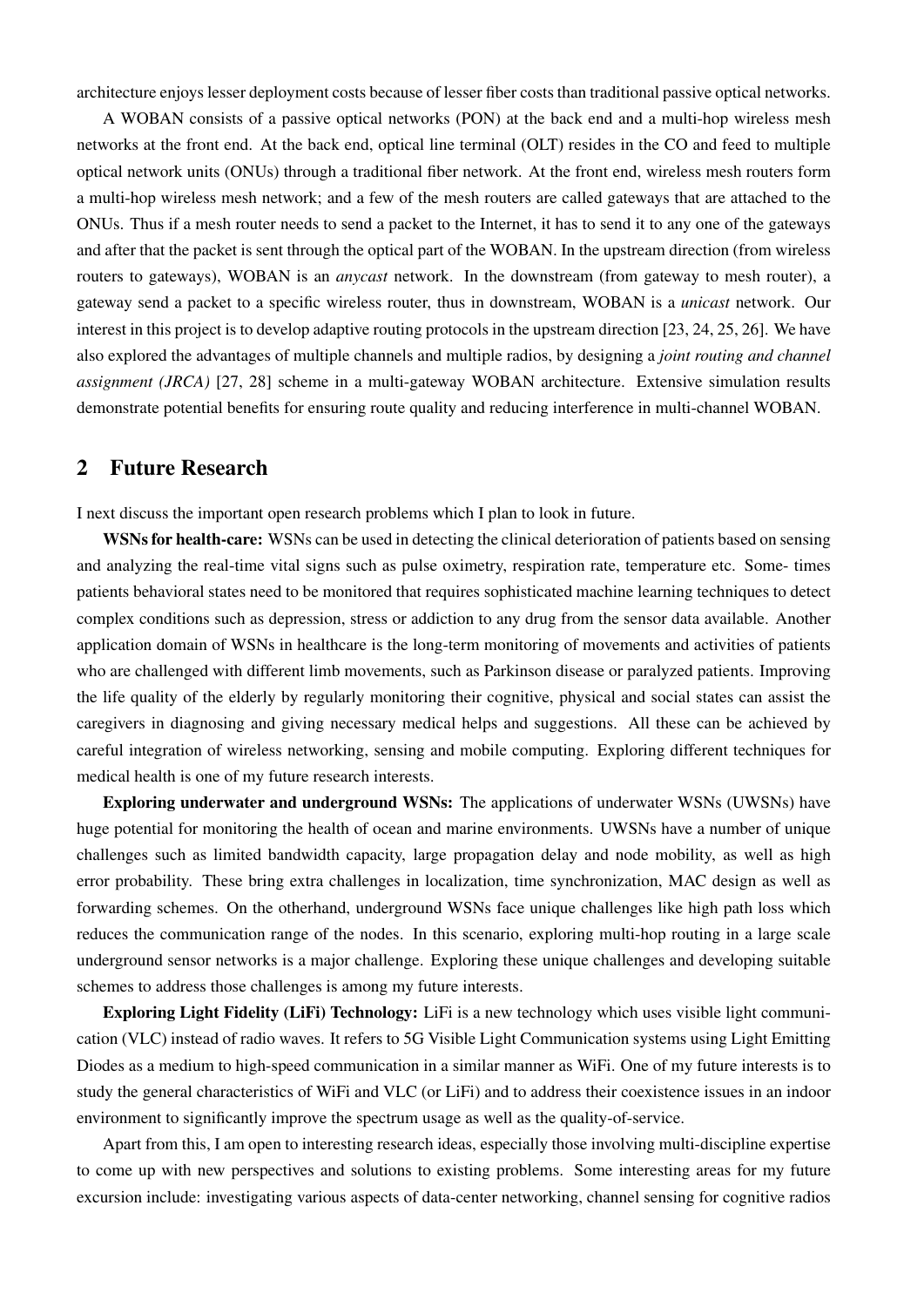architecture enjoys lesser deployment costs because of lesser fiber costs than traditional passive optical networks.

A WOBAN consists of a passive optical networks (PON) at the back end and a multi-hop wireless mesh networks at the front end. At the back end, optical line terminal (OLT) resides in the CO and feed to multiple optical network units (ONUs) through a traditional fiber network. At the front end, wireless mesh routers form a multi-hop wireless mesh network; and a few of the mesh routers are called gateways that are attached to the ONUs. Thus if a mesh router needs to send a packet to the Internet, it has to send it to any one of the gateways and after that the packet is sent through the optical part of the WOBAN. In the upstream direction (from wireless routers to gateways), WOBAN is an *anycast* network. In the downstream (from gateway to mesh router), a gateway send a packet to a specific wireless router, thus in downstream, WOBAN is a *unicast* network. Our interest in this project is to develop adaptive routing protocols in the upstream direction [23, 24, 25, 26]. We have also explored the advantages of multiple channels and multiple radios, by designing a *joint routing and channel assignment (JRCA)* [27, 28] scheme in a multi-gateway WOBAN architecture. Extensive simulation results demonstrate potential benefits for ensuring route quality and reducing interference in multi-channel WOBAN.

### 2 Future Research

I next discuss the important open research problems which I plan to look in future.

WSNs for health-care: WSNs can be used in detecting the clinical deterioration of patients based on sensing and analyzing the real-time vital signs such as pulse oximetry, respiration rate, temperature etc. Some- times patients behavioral states need to be monitored that requires sophisticated machine learning techniques to detect complex conditions such as depression, stress or addiction to any drug from the sensor data available. Another application domain of WSNs in healthcare is the long-term monitoring of movements and activities of patients who are challenged with different limb movements, such as Parkinson disease or paralyzed patients. Improving the life quality of the elderly by regularly monitoring their cognitive, physical and social states can assist the caregivers in diagnosing and giving necessary medical helps and suggestions. All these can be achieved by careful integration of wireless networking, sensing and mobile computing. Exploring different techniques for medical health is one of my future research interests.

Exploring underwater and underground WSNs: The applications of underwater WSNs (UWSNs) have huge potential for monitoring the health of ocean and marine environments. UWSNs have a number of unique challenges such as limited bandwidth capacity, large propagation delay and node mobility, as well as high error probability. These bring extra challenges in localization, time synchronization, MAC design as well as forwarding schemes. On the otherhand, underground WSNs face unique challenges like high path loss which reduces the communication range of the nodes. In this scenario, exploring multi-hop routing in a large scale underground sensor networks is a major challenge. Exploring these unique challenges and developing suitable schemes to address those challenges is among my future interests.

Exploring Light Fidelity (LiFi) Technology: LiFi is a new technology which uses visible light communication (VLC) instead of radio waves. It refers to 5G Visible Light Communication systems using Light Emitting Diodes as a medium to high-speed communication in a similar manner as WiFi. One of my future interests is to study the general characteristics of WiFi and VLC (or LiFi) and to address their coexistence issues in an indoor environment to significantly improve the spectrum usage as well as the quality-of-service.

Apart from this, I am open to interesting research ideas, especially those involving multi-discipline expertise to come up with new perspectives and solutions to existing problems. Some interesting areas for my future excursion include: investigating various aspects of data-center networking, channel sensing for cognitive radios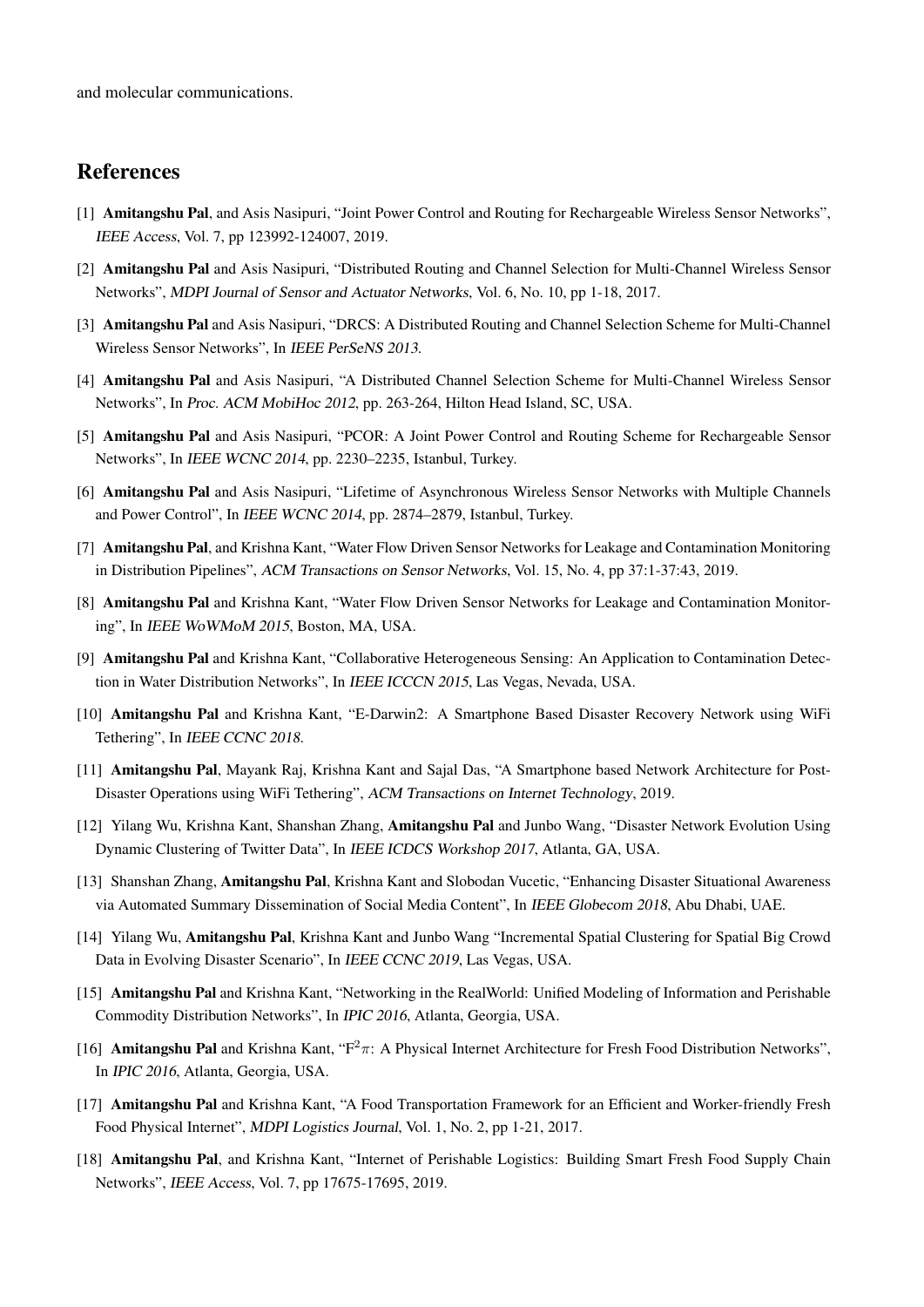and molecular communications.

## References

- [1] Amitangshu Pal, and Asis Nasipuri, "Joint Power Control and Routing for Rechargeable Wireless Sensor Networks", IEEE Access, Vol. 7, pp 123992-124007, 2019.
- [2] Amitangshu Pal and Asis Nasipuri, "Distributed Routing and Channel Selection for Multi-Channel Wireless Sensor Networks", MDPI Journal of Sensor and Actuator Networks, Vol. 6, No. 10, pp 1-18, 2017.
- [3] Amitangshu Pal and Asis Nasipuri, "DRCS: A Distributed Routing and Channel Selection Scheme for Multi-Channel Wireless Sensor Networks", In IEEE PerSeNS 2013.
- [4] Amitangshu Pal and Asis Nasipuri, "A Distributed Channel Selection Scheme for Multi-Channel Wireless Sensor Networks", In Proc. ACM MobiHoc 2012, pp. 263-264, Hilton Head Island, SC, USA.
- [5] Amitangshu Pal and Asis Nasipuri, "PCOR: A Joint Power Control and Routing Scheme for Rechargeable Sensor Networks", In IEEE WCNC 2014, pp. 2230–2235, Istanbul, Turkey.
- [6] Amitangshu Pal and Asis Nasipuri, "Lifetime of Asynchronous Wireless Sensor Networks with Multiple Channels and Power Control", In IEEE WCNC 2014, pp. 2874–2879, Istanbul, Turkey.
- [7] Amitangshu Pal, and Krishna Kant, "Water Flow Driven Sensor Networks for Leakage and Contamination Monitoring in Distribution Pipelines", ACM Transactions on Sensor Networks, Vol. 15, No. 4, pp 37:1-37:43, 2019.
- [8] Amitangshu Pal and Krishna Kant, "Water Flow Driven Sensor Networks for Leakage and Contamination Monitoring", In IEEE WoWMoM 2015, Boston, MA, USA.
- [9] Amitangshu Pal and Krishna Kant, "Collaborative Heterogeneous Sensing: An Application to Contamination Detection in Water Distribution Networks", In IEEE ICCCN 2015, Las Vegas, Nevada, USA.
- [10] Amitangshu Pal and Krishna Kant, "E-Darwin2: A Smartphone Based Disaster Recovery Network using WiFi Tethering", In IEEE CCNC 2018.
- [11] Amitangshu Pal, Mayank Raj, Krishna Kant and Sajal Das, "A Smartphone based Network Architecture for Post-Disaster Operations using WiFi Tethering", ACM Transactions on Internet Technology, 2019.
- [12] Yilang Wu, Krishna Kant, Shanshan Zhang, Amitangshu Pal and Junbo Wang, "Disaster Network Evolution Using Dynamic Clustering of Twitter Data", In IEEE ICDCS Workshop 2017, Atlanta, GA, USA.
- [13] Shanshan Zhang, Amitangshu Pal, Krishna Kant and Slobodan Vucetic, "Enhancing Disaster Situational Awareness via Automated Summary Dissemination of Social Media Content", In IEEE Globecom 2018, Abu Dhabi, UAE.
- [14] Yilang Wu, Amitangshu Pal, Krishna Kant and Junbo Wang "Incremental Spatial Clustering for Spatial Big Crowd Data in Evolving Disaster Scenario", In IEEE CCNC 2019, Las Vegas, USA.
- [15] Amitangshu Pal and Krishna Kant, "Networking in the RealWorld: Unified Modeling of Information and Perishable Commodity Distribution Networks", In IPIC 2016, Atlanta, Georgia, USA.
- [16] Amitangshu Pal and Krishna Kant, " $F^2 \pi$ : A Physical Internet Architecture for Fresh Food Distribution Networks", In IPIC 2016, Atlanta, Georgia, USA.
- [17] Amitangshu Pal and Krishna Kant, "A Food Transportation Framework for an Efficient and Worker-friendly Fresh Food Physical Internet", MDPI Logistics Journal, Vol. 1, No. 2, pp 1-21, 2017.
- [18] Amitangshu Pal, and Krishna Kant, "Internet of Perishable Logistics: Building Smart Fresh Food Supply Chain Networks", IEEE Access, Vol. 7, pp 17675-17695, 2019.